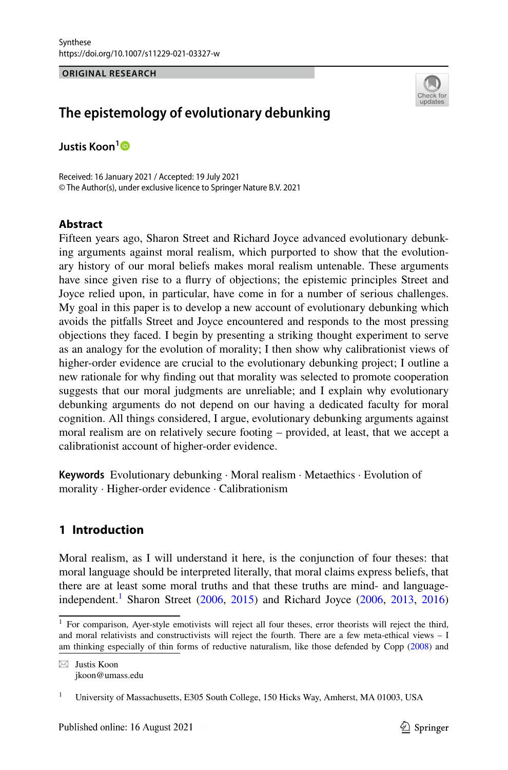**ORIGINAL RESEARCH**



# **The epistemology of evolutionary debunking**

**Justis Koon[1](http://orcid.org/0000-0002-4174-4845)**

Received: 16 January 2021 / Accepted: 19 July 2021 © The Author(s), under exclusive licence to Springer Nature B.V. 2021

# **Abstract**

Fifteen years ago, Sharon Street and Richard Joyce advanced evolutionary debunking arguments against moral realism, which purported to show that the evolutionary history of our moral beliefs makes moral realism untenable. These arguments have since given rise to a flurry of objections; the epistemic principles Street and Joyce relied upon, in particular, have come in for a number of serious challenges. My goal in this paper is to develop a new account of evolutionary debunking which avoids the pitfalls Street and Joyce encountered and responds to the most pressing objections they faced. I begin by presenting a striking thought experiment to serve as an analogy for the evolution of morality; I then show why calibrationist views of higher-order evidence are crucial to the evolutionary debunking project; I outline a new rationale for why finding out that morality was selected to promote cooperation suggests that our moral judgments are unreliable; and I explain why evolutionary debunking arguments do not depend on our having a dedicated faculty for moral cognition. All things considered, I argue, evolutionary debunking arguments against moral realism are on relatively secure footing – provided, at least, that we accept a calibrationist account of higher-order evidence.

**Keywords** Evolutionary debunking · Moral realism · Metaethics · Evolution of morality · Higher-order evidence · Calibrationism

# **1 Introduction**

Moral realism, as I will understand it here, is the conjunction of four theses: that moral language should be interpreted literally, that moral claims express beliefs, that there are at least some moral truths and that these truths are mind- and language-independent.<sup>[1](#page-0-0)</sup> Sharon Street [\(2006](#page-21-0), [2015\)](#page-21-1) and Richard Joyce ([2006,](#page-20-0) [2013](#page-20-1), [2016](#page-20-2))

<span id="page-0-0"></span><sup>&</sup>lt;sup>1</sup> For comparison, Ayer-style emotivists will reject all four theses, error theorists will reject the third, and moral relativists and constructivists will reject the fourth. There are a few meta-ethical views – I am thinking especially of thin forms of reductive naturalism, like those defended by Copp [\(2008](#page-19-0)) and

 $\boxtimes$  Justis Koon jkoon@umass.edu

<sup>1</sup> University of Massachusetts, E305 South College, 150 Hicks Way, Amherst, MA 01003, USA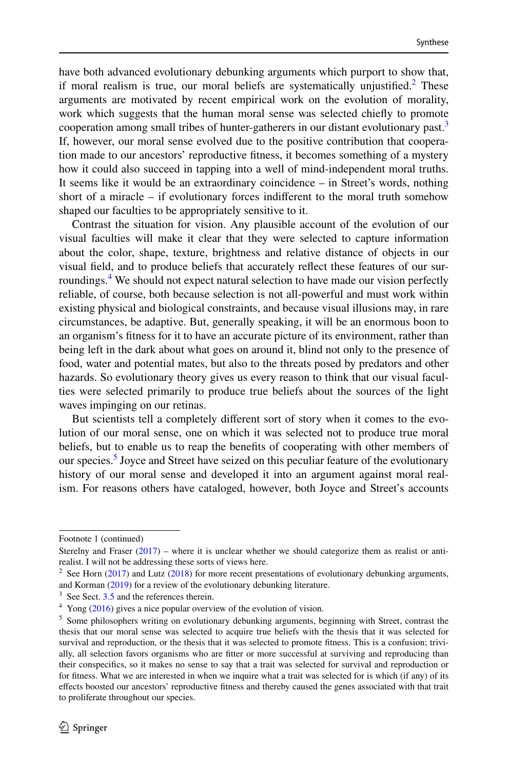have both advanced evolutionary debunking arguments which purport to show that, if moral realism is true, our moral beliefs are systematically unjustified.<sup>[2](#page-1-0)</sup> These arguments are motivated by recent empirical work on the evolution of morality, work which suggests that the human moral sense was selected chiefly to promote cooperation among small tribes of hunter-gatherers in our distant evolutionary past.<sup>[3](#page-1-1)</sup> If, however, our moral sense evolved due to the positive contribution that cooperation made to our ancestors' reproductive fitness, it becomes something of a mystery how it could also succeed in tapping into a well of mind-independent moral truths. It seems like it would be an extraordinary coincidence – in Street's words, nothing short of a miracle – if evolutionary forces indifferent to the moral truth somehow shaped our faculties to be appropriately sensitive to it.

Contrast the situation for vision. Any plausible account of the evolution of our visual faculties will make it clear that they were selected to capture information about the color, shape, texture, brightness and relative distance of objects in our visual field, and to produce beliefs that accurately reflect these features of our sur-roundings.<sup>[4](#page-1-2)</sup> We should not expect natural selection to have made our vision perfectly reliable, of course, both because selection is not all-powerful and must work within existing physical and biological constraints, and because visual illusions may, in rare circumstances, be adaptive. But, generally speaking, it will be an enormous boon to an organism's fitness for it to have an accurate picture of its environment, rather than being left in the dark about what goes on around it, blind not only to the presence of food, water and potential mates, but also to the threats posed by predators and other hazards. So evolutionary theory gives us every reason to think that our visual faculties were selected primarily to produce true beliefs about the sources of the light waves impinging on our retinas.

But scientists tell a completely different sort of story when it comes to the evolution of our moral sense, one on which it was selected not to produce true moral beliefs, but to enable us to reap the benefits of cooperating with other members of our species.<sup>[5](#page-1-3)</sup> Joyce and Street have seized on this peculiar feature of the evolutionary history of our moral sense and developed it into an argument against moral realism. For reasons others have cataloged, however, both Joyce and Street's accounts

Footnote 1 (continued)

Sterelny and Fraser [\(2017](#page-21-3)) – where it is unclear whether we should categorize them as realist or antirealist. I will not be addressing these sorts of views here.

<span id="page-1-0"></span><sup>&</sup>lt;sup>2</sup> See Horn [\(2017](#page-20-3)) and Lutz ([2018\)](#page-20-4) for more recent presentations of evolutionary debunking arguments, and Korman [\(2019](#page-20-5)) for a review of the evolutionary debunking literature.

<span id="page-1-1"></span><sup>&</sup>lt;sup>3</sup> See Sect. [3.5](#page-14-0) and the references therein.

<span id="page-1-2"></span><sup>&</sup>lt;sup>4</sup> Yong ([2016\)](#page-21-2) gives a nice popular overview of the evolution of vision.

<span id="page-1-3"></span><sup>&</sup>lt;sup>5</sup> Some philosophers writing on evolutionary debunking arguments, beginning with Street, contrast the thesis that our moral sense was selected to acquire true beliefs with the thesis that it was selected for survival and reproduction, or the thesis that it was selected to promote fitness. This is a confusion; trivially, all selection favors organisms who are fitter or more successful at surviving and reproducing than their conspecifics, so it makes no sense to say that a trait was selected for survival and reproduction or for fitness. What we are interested in when we inquire what a trait was selected for is which (if any) of its effects boosted our ancestors' reproductive fitness and thereby caused the genes associated with that trait to proliferate throughout our species.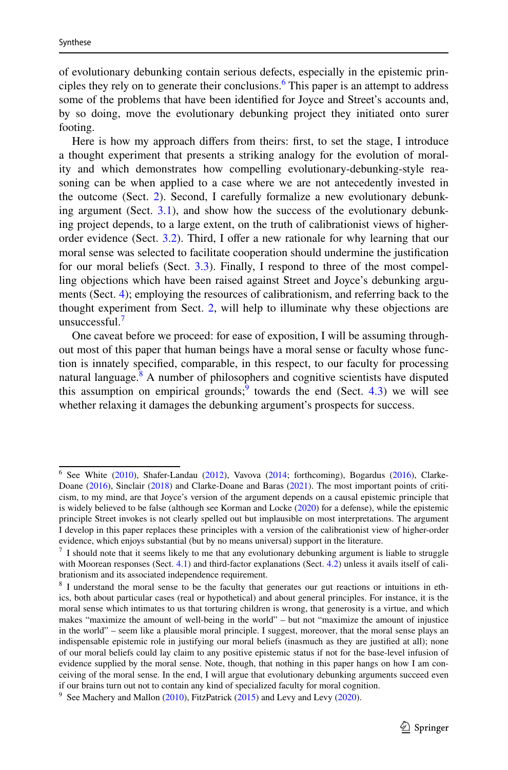of evolutionary debunking contain serious defects, especially in the epistemic prin-ciples they rely on to generate their conclusions.<sup>[6](#page-2-0)</sup> This paper is an attempt to address some of the problems that have been identified for Joyce and Street's accounts and, by so doing, move the evolutionary debunking project they initiated onto surer footing.

Here is how my approach differs from theirs: first, to set the stage, I introduce a thought experiment that presents a striking analogy for the evolution of morality and which demonstrates how compelling evolutionary-debunking-style reasoning can be when applied to a case where we are not antecedently invested in the outcome (Sect. [2\)](#page-3-0). Second, I carefully formalize a new evolutionary debunking argument (Sect. [3.1\)](#page-5-0), and show how the success of the evolutionary debunking project depends, to a large extent, on the truth of calibrationist views of higherorder evidence (Sect. [3.2](#page-6-0)). Third, I offer a new rationale for why learning that our moral sense was selected to facilitate cooperation should undermine the justification for our moral beliefs (Sect. [3.3](#page-9-0)). Finally, I respond to three of the most compelling objections which have been raised against Street and Joyce's debunking arguments (Sect. [4](#page-15-0)); employing the resources of calibrationism, and referring back to the thought experiment from Sect. [2](#page-3-0), will help to illuminate why these objections are unsuccessful. $<sup>7</sup>$  $<sup>7</sup>$  $<sup>7</sup>$ </sup>

One caveat before we proceed: for ease of exposition, I will be assuming throughout most of this paper that human beings have a moral sense or faculty whose function is innately specified, comparable, in this respect, to our faculty for processing natural language.<sup>[8](#page-2-2)</sup> A number of philosophers and cognitive scientists have disputed this assumption on empirical grounds;<sup>[9](#page-2-3)</sup> towards the end (Sect.  $4.3$ ) we will see whether relaxing it damages the debunking argument's prospects for success.

<span id="page-2-0"></span><sup>&</sup>lt;sup>6</sup> See White [\(2010](#page-21-4)), Shafer-Landau ([2012\)](#page-20-6), Vavova [\(2014](#page-21-5); forthcoming), Bogardus ([2016\)](#page-19-1), Clarke-Doane [\(2016](#page-19-2)), Sinclair ([2018\)](#page-20-7) and Clarke-Doane and Baras ([2021\)](#page-19-3). The most important points of criticism, to my mind, are that Joyce's version of the argument depends on a causal epistemic principle that is widely believed to be false (although see Korman and Locke [\(2020](#page-20-8)) for a defense), while the epistemic principle Street invokes is not clearly spelled out but implausible on most interpretations. The argument I develop in this paper replaces these principles with a version of the calibrationist view of higher-order evidence, which enjoys substantial (but by no means universal) support in the literature.

<span id="page-2-1"></span><sup>&</sup>lt;sup>7</sup> I should note that it seems likely to me that any evolutionary debunking argument is liable to struggle with Moorean responses (Sect. [4.1\)](#page-15-1) and third-factor explanations (Sect. [4.2\)](#page-15-2) unless it avails itself of calibrationism and its associated independence requirement.

<span id="page-2-2"></span><sup>&</sup>lt;sup>8</sup> I understand the moral sense to be the faculty that generates our gut reactions or intuitions in ethics, both about particular cases (real or hypothetical) and about general principles. For instance, it is the moral sense which intimates to us that torturing children is wrong, that generosity is a virtue, and which makes "maximize the amount of well-being in the world" – but not "maximize the amount of injustice in the world" – seem like a plausible moral principle. I suggest, moreover, that the moral sense plays an indispensable epistemic role in justifying our moral beliefs (inasmuch as they are justified at all); none of our moral beliefs could lay claim to any positive epistemic status if not for the base-level infusion of evidence supplied by the moral sense. Note, though, that nothing in this paper hangs on how I am conceiving of the moral sense. In the end, I will argue that evolutionary debunking arguments succeed even if our brains turn out not to contain any kind of specialized faculty for moral cognition.

<span id="page-2-3"></span><sup>&</sup>lt;sup>9</sup> See Machery and Mallon [\(2010](#page-20-9)), FitzPatrick [\(2015](#page-20-10)) and Levy and Levy [\(2020](#page-20-11)).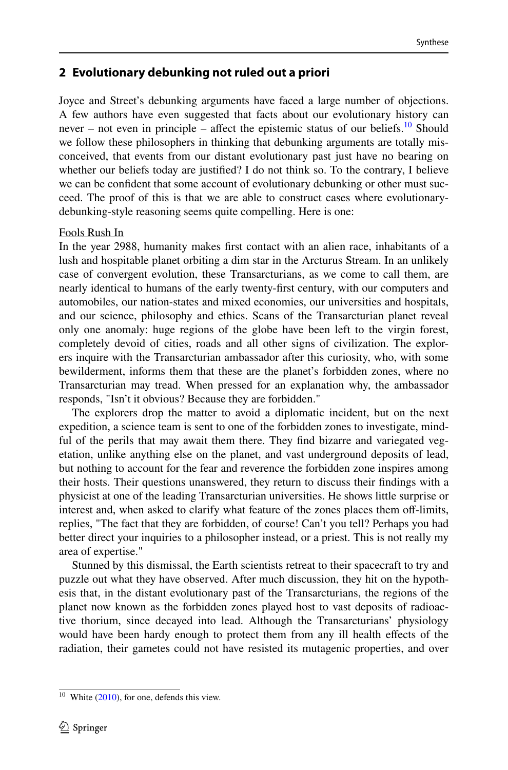# <span id="page-3-0"></span>**2 Evolutionary debunking not ruled out a priori**

Joyce and Street's debunking arguments have faced a large number of objections. A few authors have even suggested that facts about our evolutionary history can never – not even in principle – affect the epistemic status of our beliefs.<sup>[10](#page-3-1)</sup> Should we follow these philosophers in thinking that debunking arguments are totally misconceived, that events from our distant evolutionary past just have no bearing on whether our beliefs today are justified? I do not think so. To the contrary, I believe we can be confident that some account of evolutionary debunking or other must succeed. The proof of this is that we are able to construct cases where evolutionarydebunking-style reasoning seems quite compelling. Here is one:

#### Fools Rush In

In the year 2988, humanity makes first contact with an alien race, inhabitants of a lush and hospitable planet orbiting a dim star in the Arcturus Stream. In an unlikely case of convergent evolution, these Transarcturians, as we come to call them, are nearly identical to humans of the early twenty-first century, with our computers and automobiles, our nation-states and mixed economies, our universities and hospitals, and our science, philosophy and ethics. Scans of the Transarcturian planet reveal only one anomaly: huge regions of the globe have been left to the virgin forest, completely devoid of cities, roads and all other signs of civilization. The explorers inquire with the Transarcturian ambassador after this curiosity, who, with some bewilderment, informs them that these are the planet's forbidden zones, where no Transarcturian may tread. When pressed for an explanation why, the ambassador responds, "Isn't it obvious? Because they are forbidden."

The explorers drop the matter to avoid a diplomatic incident, but on the next expedition, a science team is sent to one of the forbidden zones to investigate, mindful of the perils that may await them there. They find bizarre and variegated vegetation, unlike anything else on the planet, and vast underground deposits of lead, but nothing to account for the fear and reverence the forbidden zone inspires among their hosts. Their questions unanswered, they return to discuss their findings with a physicist at one of the leading Transarcturian universities. He shows little surprise or interest and, when asked to clarify what feature of the zones places them off-limits, replies, "The fact that they are forbidden, of course! Can't you tell? Perhaps you had better direct your inquiries to a philosopher instead, or a priest. This is not really my area of expertise."

Stunned by this dismissal, the Earth scientists retreat to their spacecraft to try and puzzle out what they have observed. After much discussion, they hit on the hypothesis that, in the distant evolutionary past of the Transarcturians, the regions of the planet now known as the forbidden zones played host to vast deposits of radioactive thorium, since decayed into lead. Although the Transarcturians' physiology would have been hardy enough to protect them from any ill health effects of the radiation, their gametes could not have resisted its mutagenic properties, and over

<span id="page-3-1"></span> $10$  White ([2010\)](#page-21-4), for one, defends this view.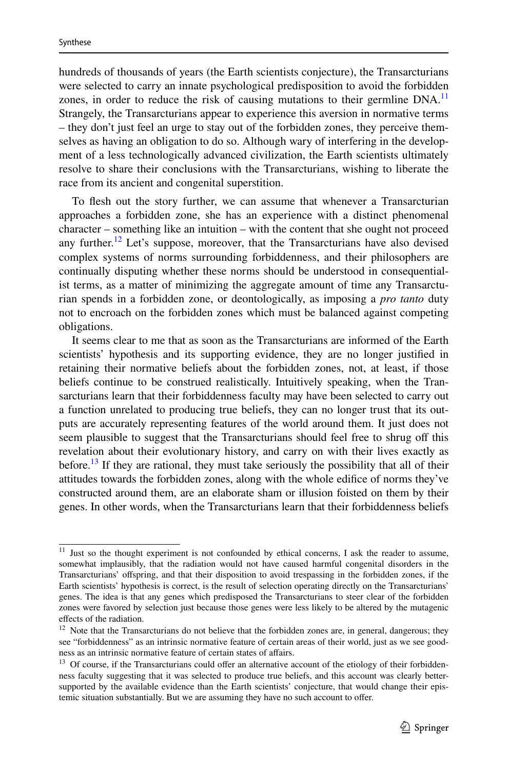hundreds of thousands of years (the Earth scientists conjecture), the Transarcturians were selected to carry an innate psychological predisposition to avoid the forbidden zones, in order to reduce the risk of causing mutations to their germline  $DNA$ <sup>[11](#page-4-0)</sup> Strangely, the Transarcturians appear to experience this aversion in normative terms – they don't just feel an urge to stay out of the forbidden zones, they perceive themselves as having an obligation to do so. Although wary of interfering in the development of a less technologically advanced civilization, the Earth scientists ultimately resolve to share their conclusions with the Transarcturians, wishing to liberate the race from its ancient and congenital superstition.

To flesh out the story further, we can assume that whenever a Transarcturian approaches a forbidden zone, she has an experience with a distinct phenomenal character – something like an intuition – with the content that she ought not proceed any further.<sup>[12](#page-4-1)</sup> Let's suppose, moreover, that the Transarcturians have also devised complex systems of norms surrounding forbiddenness, and their philosophers are continually disputing whether these norms should be understood in consequentialist terms, as a matter of minimizing the aggregate amount of time any Transarcturian spends in a forbidden zone, or deontologically, as imposing a *pro tanto* duty not to encroach on the forbidden zones which must be balanced against competing obligations.

It seems clear to me that as soon as the Transarcturians are informed of the Earth scientists' hypothesis and its supporting evidence, they are no longer justified in retaining their normative beliefs about the forbidden zones, not, at least, if those beliefs continue to be construed realistically. Intuitively speaking, when the Transarcturians learn that their forbiddenness faculty may have been selected to carry out a function unrelated to producing true beliefs, they can no longer trust that its outputs are accurately representing features of the world around them. It just does not seem plausible to suggest that the Transarcturians should feel free to shrug off this revelation about their evolutionary history, and carry on with their lives exactly as before.<sup>[13](#page-4-2)</sup> If they are rational, they must take seriously the possibility that all of their attitudes towards the forbidden zones, along with the whole edifice of norms they've constructed around them, are an elaborate sham or illusion foisted on them by their genes. In other words, when the Transarcturians learn that their forbiddenness beliefs

<span id="page-4-0"></span><sup>&</sup>lt;sup>11</sup> Just so the thought experiment is not confounded by ethical concerns, I ask the reader to assume, somewhat implausibly, that the radiation would not have caused harmful congenital disorders in the Transarcturians' offspring, and that their disposition to avoid trespassing in the forbidden zones, if the Earth scientists' hypothesis is correct, is the result of selection operating directly on the Transarcturians' genes. The idea is that any genes which predisposed the Transarcturians to steer clear of the forbidden zones were favored by selection just because those genes were less likely to be altered by the mutagenic effects of the radiation.

<span id="page-4-1"></span><sup>&</sup>lt;sup>12</sup> Note that the Transarcturians do not believe that the forbidden zones are, in general, dangerous; they see "forbiddenness" as an intrinsic normative feature of certain areas of their world, just as we see goodness as an intrinsic normative feature of certain states of affairs.

<span id="page-4-2"></span><sup>&</sup>lt;sup>13</sup> Of course, if the Transarcturians could offer an alternative account of the etiology of their forbiddenness faculty suggesting that it was selected to produce true beliefs, and this account was clearly bettersupported by the available evidence than the Earth scientists' conjecture, that would change their epistemic situation substantially. But we are assuming they have no such account to offer.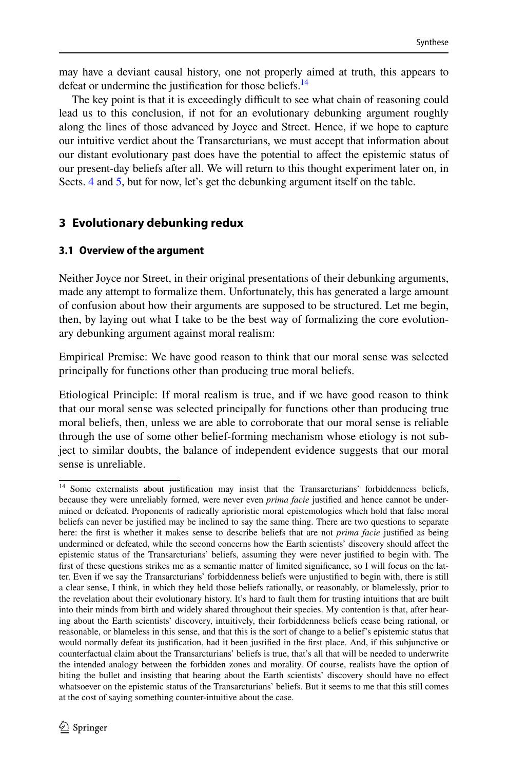may have a deviant causal history, one not properly aimed at truth, this appears to defeat or undermine the justification for those beliefs.<sup>[14](#page-5-1)</sup>

The key point is that it is exceedingly difficult to see what chain of reasoning could lead us to this conclusion, if not for an evolutionary debunking argument roughly along the lines of those advanced by Joyce and Street. Hence, if we hope to capture our intuitive verdict about the Transarcturians, we must accept that information about our distant evolutionary past does have the potential to affect the epistemic status of our present-day beliefs after all. We will return to this thought experiment later on, in Sects. [4](#page-15-0) and [5](#page-18-0), but for now, let's get the debunking argument itself on the table.

# **3 Evolutionary debunking redux**

### <span id="page-5-0"></span>**3.1 Overview of the argument**

Neither Joyce nor Street, in their original presentations of their debunking arguments, made any attempt to formalize them. Unfortunately, this has generated a large amount of confusion about how their arguments are supposed to be structured. Let me begin, then, by laying out what I take to be the best way of formalizing the core evolutionary debunking argument against moral realism:

Empirical Premise: We have good reason to think that our moral sense was selected principally for functions other than producing true moral beliefs.

Etiological Principle: If moral realism is true, and if we have good reason to think that our moral sense was selected principally for functions other than producing true moral beliefs, then, unless we are able to corroborate that our moral sense is reliable through the use of some other belief-forming mechanism whose etiology is not subject to similar doubts, the balance of independent evidence suggests that our moral sense is unreliable.

<span id="page-5-1"></span><sup>&</sup>lt;sup>14</sup> Some externalists about justification may insist that the Transarcturians' forbiddenness beliefs, because they were unreliably formed, were never even *prima facie* justified and hence cannot be undermined or defeated. Proponents of radically aprioristic moral epistemologies which hold that false moral beliefs can never be justified may be inclined to say the same thing. There are two questions to separate here: the first is whether it makes sense to describe beliefs that are not *prima facie* justified as being undermined or defeated, while the second concerns how the Earth scientists' discovery should affect the epistemic status of the Transarcturians' beliefs, assuming they were never justified to begin with. The first of these questions strikes me as a semantic matter of limited significance, so I will focus on the latter. Even if we say the Transarcturians' forbiddenness beliefs were unjustified to begin with, there is still a clear sense, I think, in which they held those beliefs rationally, or reasonably, or blamelessly, prior to the revelation about their evolutionary history. It's hard to fault them for trusting intuitions that are built into their minds from birth and widely shared throughout their species. My contention is that, after hearing about the Earth scientists' discovery, intuitively, their forbiddenness beliefs cease being rational, or reasonable, or blameless in this sense, and that this is the sort of change to a belief's epistemic status that would normally defeat its justification, had it been justified in the first place. And, if this subjunctive or counterfactual claim about the Transarcturians' beliefs is true, that's all that will be needed to underwrite the intended analogy between the forbidden zones and morality. Of course, realists have the option of biting the bullet and insisting that hearing about the Earth scientists' discovery should have no effect whatsoever on the epistemic status of the Transarcturians' beliefs. But it seems to me that this still comes at the cost of saying something counter-intuitive about the case.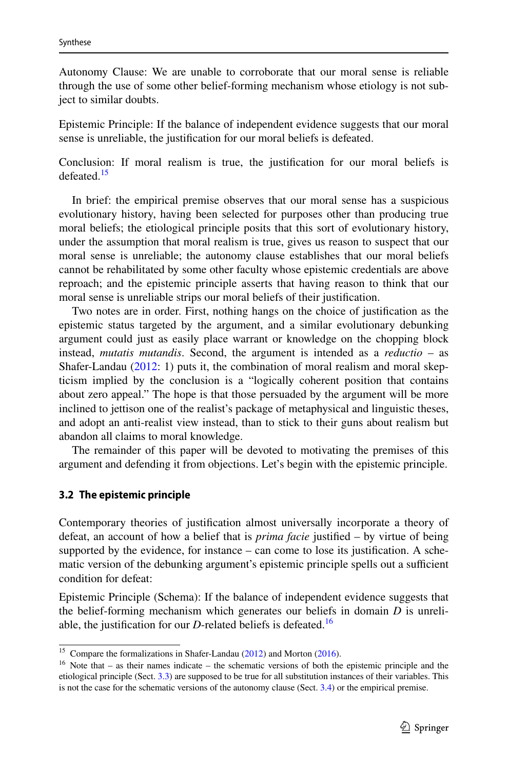Autonomy Clause: We are unable to corroborate that our moral sense is reliable through the use of some other belief-forming mechanism whose etiology is not subject to similar doubts.

Epistemic Principle: If the balance of independent evidence suggests that our moral sense is unreliable, the justification for our moral beliefs is defeated.

Conclusion: If moral realism is true, the justification for our moral beliefs is defeated.<sup>[15](#page-6-1)</sup>

In brief: the empirical premise observes that our moral sense has a suspicious evolutionary history, having been selected for purposes other than producing true moral beliefs; the etiological principle posits that this sort of evolutionary history, under the assumption that moral realism is true, gives us reason to suspect that our moral sense is unreliable; the autonomy clause establishes that our moral beliefs cannot be rehabilitated by some other faculty whose epistemic credentials are above reproach; and the epistemic principle asserts that having reason to think that our moral sense is unreliable strips our moral beliefs of their justification.

Two notes are in order. First, nothing hangs on the choice of justification as the epistemic status targeted by the argument, and a similar evolutionary debunking argument could just as easily place warrant or knowledge on the chopping block instead, *mutatis mutandis*. Second, the argument is intended as a *reductio* – as Shafer-Landau [\(2012](#page-20-6): 1) puts it, the combination of moral realism and moral skepticism implied by the conclusion is a "logically coherent position that contains about zero appeal." The hope is that those persuaded by the argument will be more inclined to jettison one of the realist's package of metaphysical and linguistic theses, and adopt an anti-realist view instead, than to stick to their guns about realism but abandon all claims to moral knowledge.

The remainder of this paper will be devoted to motivating the premises of this argument and defending it from objections. Let's begin with the epistemic principle.

#### <span id="page-6-0"></span>**3.2 The epistemic principle**

Contemporary theories of justification almost universally incorporate a theory of defeat, an account of how a belief that is *prima facie* justified – by virtue of being supported by the evidence, for instance – can come to lose its justification. A schematic version of the debunking argument's epistemic principle spells out a sufficient condition for defeat:

Epistemic Principle (Schema): If the balance of independent evidence suggests that the belief-forming mechanism which generates our beliefs in domain *D* is unreliable, the justification for our  $D$ -related beliefs is defeated.<sup>[16](#page-6-2)</sup>

<span id="page-6-1"></span><sup>&</sup>lt;sup>15</sup> Compare the formalizations in Shafer-Landau ([2012\)](#page-20-6) and Morton ([2016\)](#page-20-12).

<span id="page-6-2"></span><sup>&</sup>lt;sup>16</sup> Note that – as their names indicate – the schematic versions of both the epistemic principle and the etiological principle (Sect. [3.3\)](#page-9-0) are supposed to be true for all substitution instances of their variables. This is not the case for the schematic versions of the autonomy clause (Sect. [3.4](#page-13-0)) or the empirical premise.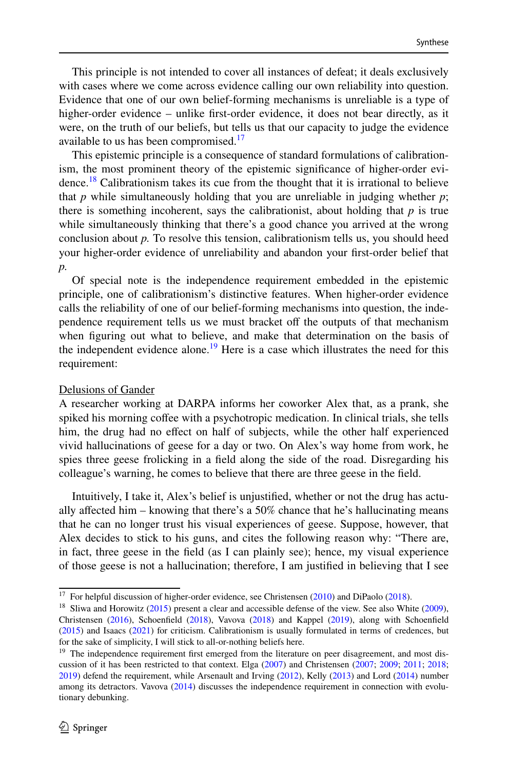This principle is not intended to cover all instances of defeat; it deals exclusively with cases where we come across evidence calling our own reliability into question. Evidence that one of our own belief-forming mechanisms is unreliable is a type of higher-order evidence – unlike first-order evidence, it does not bear directly, as it were, on the truth of our beliefs, but tells us that our capacity to judge the evidence available to us has been compromised.<sup>[17](#page-7-0)</sup>

This epistemic principle is a consequence of standard formulations of calibrationism, the most prominent theory of the epistemic significance of higher-order evidence.[18](#page-7-1) Calibrationism takes its cue from the thought that it is irrational to believe that  $p$  while simultaneously holding that you are unreliable in judging whether  $p$ ; there is something incoherent, says the calibrationist, about holding that  $p$  is true while simultaneously thinking that there's a good chance you arrived at the wrong conclusion about *p.* To resolve this tension, calibrationism tells us, you should heed your higher-order evidence of unreliability and abandon your first-order belief that *p.*

Of special note is the independence requirement embedded in the epistemic principle, one of calibrationism's distinctive features. When higher-order evidence calls the reliability of one of our belief-forming mechanisms into question, the independence requirement tells us we must bracket off the outputs of that mechanism when figuring out what to believe, and make that determination on the basis of the independent evidence alone.<sup>[19](#page-7-2)</sup> Here is a case which illustrates the need for this requirement:

#### Delusions of Gander

A researcher working at DARPA informs her coworker Alex that, as a prank, she spiked his morning coffee with a psychotropic medication. In clinical trials, she tells him, the drug had no effect on half of subjects, while the other half experienced vivid hallucinations of geese for a day or two. On Alex's way home from work, he spies three geese frolicking in a field along the side of the road. Disregarding his colleague's warning, he comes to believe that there are three geese in the field.

Intuitively, I take it, Alex's belief is unjustified, whether or not the drug has actually affected him – knowing that there's a  $50\%$  chance that he's hallucinating means that he can no longer trust his visual experiences of geese. Suppose, however, that Alex decides to stick to his guns, and cites the following reason why: "There are, in fact, three geese in the field (as I can plainly see); hence, my visual experience of those geese is not a hallucination; therefore, I am justified in believing that I see

<span id="page-7-0"></span><sup>&</sup>lt;sup>17</sup> For helpful discussion of higher-order evidence, see Christensen  $(2010)$  $(2010)$  and DiPaolo  $(2018)$  $(2018)$ .

<span id="page-7-1"></span><sup>&</sup>lt;sup>18</sup> Sliwa and Horowitz ([2015\)](#page-21-6) present a clear and accessible defense of the view. See also White ([2009\)](#page-21-7), Christensen [\(2016](#page-19-5)), Schoenfield [\(2018](#page-20-14)), Vavova ([2018\)](#page-21-8) and Kappel [\(2019](#page-20-15)), along with Schoenfield ([2015\)](#page-20-16) and Isaacs [\(2021](#page-20-17)) for criticism. Calibrationism is usually formulated in terms of credences, but for the sake of simplicity, I will stick to all-or-nothing beliefs here.

<span id="page-7-2"></span> $19$  The independence requirement first emerged from the literature on peer disagreement, and most discussion of it has been restricted to that context. Elga ([2007\)](#page-20-18) and Christensen ([2007;](#page-19-6) [2009](#page-19-7); [2011](#page-19-8); [2018](#page-19-9); [2019](#page-19-10)) defend the requirement, while Arsenault and Irving [\(2012](#page-19-11)), Kelly ([2013\)](#page-20-19) and Lord [\(2014](#page-20-20)) number among its detractors. Vavova ([2014\)](#page-21-5) discusses the independence requirement in connection with evolutionary debunking.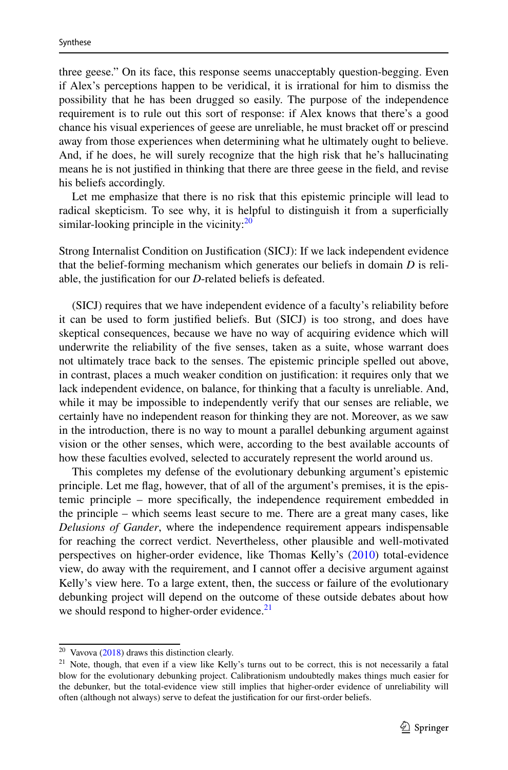three geese." On its face, this response seems unacceptably question-begging. Even if Alex's perceptions happen to be veridical, it is irrational for him to dismiss the possibility that he has been drugged so easily. The purpose of the independence requirement is to rule out this sort of response: if Alex knows that there's a good chance his visual experiences of geese are unreliable, he must bracket off or prescind away from those experiences when determining what he ultimately ought to believe. And, if he does, he will surely recognize that the high risk that he's hallucinating means he is not justified in thinking that there are three geese in the field, and revise his beliefs accordingly.

Let me emphasize that there is no risk that this epistemic principle will lead to radical skepticism. To see why, it is helpful to distinguish it from a superficially similar-looking principle in the vicinity: $20$ 

Strong Internalist Condition on Justification (SICJ): If we lack independent evidence that the belief-forming mechanism which generates our beliefs in domain *D* is reliable, the justification for our *D*-related beliefs is defeated.

(SICJ) requires that we have independent evidence of a faculty's reliability before it can be used to form justified beliefs. But (SICJ) is too strong, and does have skeptical consequences, because we have no way of acquiring evidence which will underwrite the reliability of the five senses, taken as a suite, whose warrant does not ultimately trace back to the senses. The epistemic principle spelled out above, in contrast, places a much weaker condition on justification: it requires only that we lack independent evidence, on balance, for thinking that a faculty is unreliable. And, while it may be impossible to independently verify that our senses are reliable, we certainly have no independent reason for thinking they are not. Moreover, as we saw in the introduction, there is no way to mount a parallel debunking argument against vision or the other senses, which were, according to the best available accounts of how these faculties evolved, selected to accurately represent the world around us.

This completes my defense of the evolutionary debunking argument's epistemic principle. Let me flag, however, that of all of the argument's premises, it is the epistemic principle – more specifically, the independence requirement embedded in the principle – which seems least secure to me. There are a great many cases, like *Delusions of Gander*, where the independence requirement appears indispensable for reaching the correct verdict. Nevertheless, other plausible and well-motivated perspectives on higher-order evidence, like Thomas Kelly's ([2010\)](#page-20-21) total-evidence view, do away with the requirement, and I cannot offer a decisive argument against Kelly's view here. To a large extent, then, the success or failure of the evolutionary debunking project will depend on the outcome of these outside debates about how we should respond to higher-order evidence.<sup>[21](#page-8-1)</sup>

<span id="page-8-0"></span><sup>20</sup> Vavova ([2018\)](#page-21-8) draws this distinction clearly.

<span id="page-8-1"></span><sup>&</sup>lt;sup>21</sup> Note, though, that even if a view like Kelly's turns out to be correct, this is not necessarily a fatal blow for the evolutionary debunking project. Calibrationism undoubtedly makes things much easier for the debunker, but the total-evidence view still implies that higher-order evidence of unreliability will often (although not always) serve to defeat the justification for our first-order beliefs.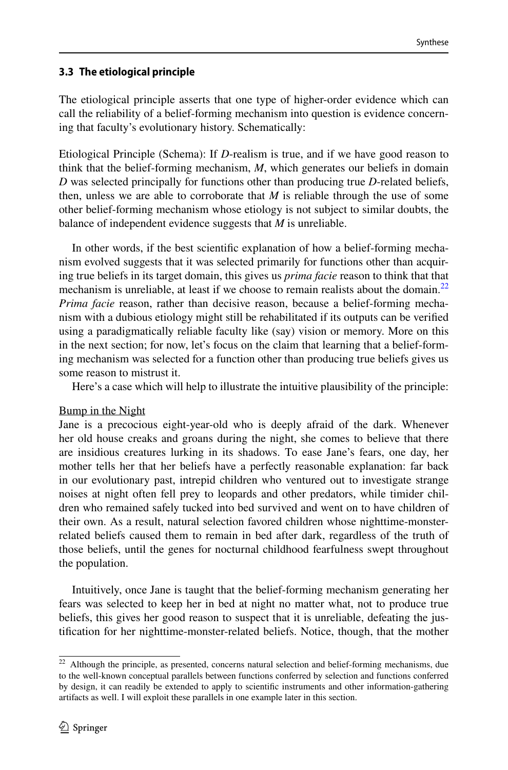# <span id="page-9-0"></span>**3.3 The etiological principle**

The etiological principle asserts that one type of higher-order evidence which can call the reliability of a belief-forming mechanism into question is evidence concerning that faculty's evolutionary history. Schematically:

Etiological Principle (Schema): If *D*-realism is true, and if we have good reason to think that the belief-forming mechanism, *M*, which generates our beliefs in domain *D* was selected principally for functions other than producing true *D*-related beliefs, then, unless we are able to corroborate that  $M$  is reliable through the use of some other belief-forming mechanism whose etiology is not subject to similar doubts, the balance of independent evidence suggests that *M* is unreliable.

In other words, if the best scientific explanation of how a belief-forming mechanism evolved suggests that it was selected primarily for functions other than acquiring true beliefs in its target domain, this gives us *prima facie* reason to think that that mechanism is unreliable, at least if we choose to remain realists about the domain.<sup>[22](#page-9-1)</sup> *Prima facie* reason, rather than decisive reason, because a belief-forming mechanism with a dubious etiology might still be rehabilitated if its outputs can be verified using a paradigmatically reliable faculty like (say) vision or memory. More on this in the next section; for now, let's focus on the claim that learning that a belief-forming mechanism was selected for a function other than producing true beliefs gives us some reason to mistrust it.

Here's a case which will help to illustrate the intuitive plausibility of the principle:

### Bump in the Night

Jane is a precocious eight-year-old who is deeply afraid of the dark. Whenever her old house creaks and groans during the night, she comes to believe that there are insidious creatures lurking in its shadows. To ease Jane's fears, one day, her mother tells her that her beliefs have a perfectly reasonable explanation: far back in our evolutionary past, intrepid children who ventured out to investigate strange noises at night often fell prey to leopards and other predators, while timider children who remained safely tucked into bed survived and went on to have children of their own. As a result, natural selection favored children whose nighttime-monsterrelated beliefs caused them to remain in bed after dark, regardless of the truth of those beliefs, until the genes for nocturnal childhood fearfulness swept throughout the population.

Intuitively, once Jane is taught that the belief-forming mechanism generating her fears was selected to keep her in bed at night no matter what, not to produce true beliefs, this gives her good reason to suspect that it is unreliable, defeating the justification for her nighttime-monster-related beliefs. Notice, though, that the mother

<span id="page-9-1"></span><sup>&</sup>lt;sup>22</sup> Although the principle, as presented, concerns natural selection and belief-forming mechanisms, due to the well-known conceptual parallels between functions conferred by selection and functions conferred by design, it can readily be extended to apply to scientific instruments and other information-gathering artifacts as well. I will exploit these parallels in one example later in this section.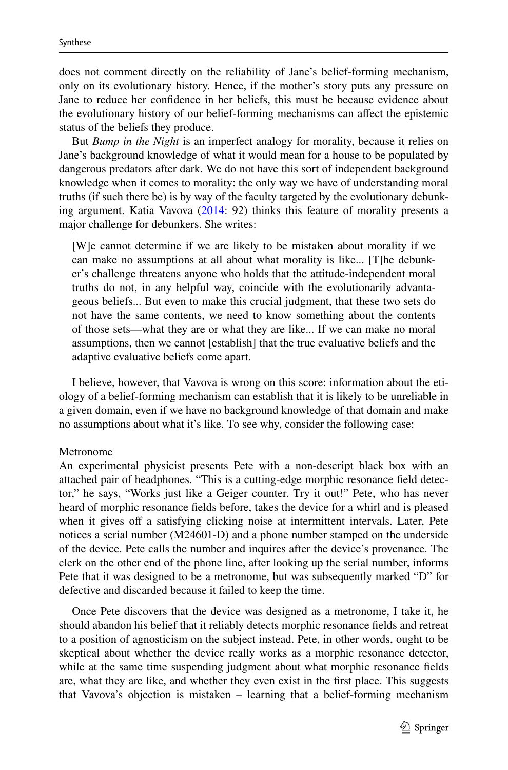does not comment directly on the reliability of Jane's belief-forming mechanism, only on its evolutionary history. Hence, if the mother's story puts any pressure on Jane to reduce her confidence in her beliefs, this must be because evidence about the evolutionary history of our belief-forming mechanisms can affect the epistemic status of the beliefs they produce.

But *Bump in the Night* is an imperfect analogy for morality, because it relies on Jane's background knowledge of what it would mean for a house to be populated by dangerous predators after dark. We do not have this sort of independent background knowledge when it comes to morality: the only way we have of understanding moral truths (if such there be) is by way of the faculty targeted by the evolutionary debunking argument. Katia Vavova [\(2014](#page-21-5): 92) thinks this feature of morality presents a major challenge for debunkers. She writes:

[W]e cannot determine if we are likely to be mistaken about morality if we can make no assumptions at all about what morality is like... [T]he debunker's challenge threatens anyone who holds that the attitude-independent moral truths do not, in any helpful way, coincide with the evolutionarily advantageous beliefs... But even to make this crucial judgment, that these two sets do not have the same contents, we need to know something about the contents of those sets—what they are or what they are like... If we can make no moral assumptions, then we cannot [establish] that the true evaluative beliefs and the adaptive evaluative beliefs come apart.

I believe, however, that Vavova is wrong on this score: information about the etiology of a belief-forming mechanism can establish that it is likely to be unreliable in a given domain, even if we have no background knowledge of that domain and make no assumptions about what it's like. To see why, consider the following case:

#### Metronome

An experimental physicist presents Pete with a non-descript black box with an attached pair of headphones. "This is a cutting-edge morphic resonance field detector," he says, "Works just like a Geiger counter. Try it out!" Pete, who has never heard of morphic resonance fields before, takes the device for a whirl and is pleased when it gives off a satisfying clicking noise at intermittent intervals. Later, Pete notices a serial number (M24601-D) and a phone number stamped on the underside of the device. Pete calls the number and inquires after the device's provenance. The clerk on the other end of the phone line, after looking up the serial number, informs Pete that it was designed to be a metronome, but was subsequently marked "D" for defective and discarded because it failed to keep the time.

Once Pete discovers that the device was designed as a metronome, I take it, he should abandon his belief that it reliably detects morphic resonance fields and retreat to a position of agnosticism on the subject instead. Pete, in other words, ought to be skeptical about whether the device really works as a morphic resonance detector, while at the same time suspending judgment about what morphic resonance fields are, what they are like, and whether they even exist in the first place. This suggests that Vavova's objection is mistaken – learning that a belief-forming mechanism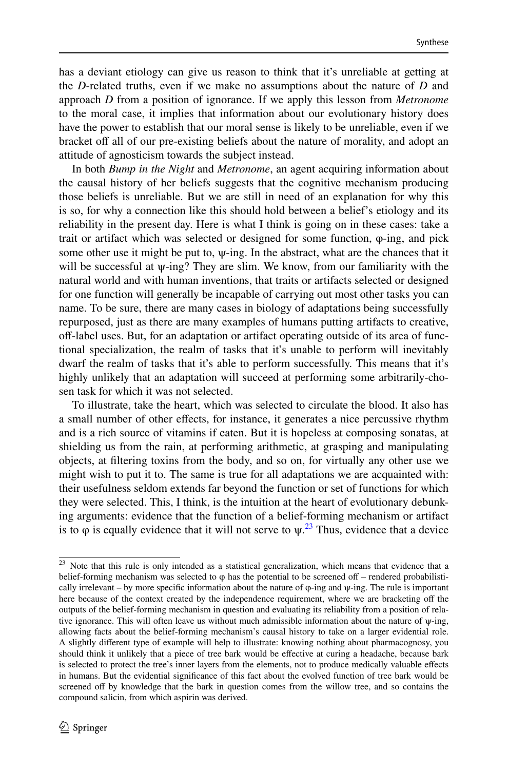has a deviant etiology can give us reason to think that it's unreliable at getting at the *D*-related truths, even if we make no assumptions about the nature of *D* and approach *D* from a position of ignorance. If we apply this lesson from *Metronome* to the moral case, it implies that information about our evolutionary history does have the power to establish that our moral sense is likely to be unreliable, even if we bracket off all of our pre-existing beliefs about the nature of morality, and adopt an attitude of agnosticism towards the subject instead.

In both *Bump in the Night* and *Metronome*, an agent acquiring information about the causal history of her beliefs suggests that the cognitive mechanism producing those beliefs is unreliable. But we are still in need of an explanation for why this is so, for why a connection like this should hold between a belief's etiology and its reliability in the present day. Here is what I think is going on in these cases: take a trait or artifact which was selected or designed for some function, φ-ing, and pick some other use it might be put to,  $\psi$ -ing. In the abstract, what are the chances that it will be successful at  $\psi$ -ing? They are slim. We know, from our familiarity with the natural world and with human inventions, that traits or artifacts selected or designed for one function will generally be incapable of carrying out most other tasks you can name. To be sure, there are many cases in biology of adaptations being successfully repurposed, just as there are many examples of humans putting artifacts to creative, off-label uses. But, for an adaptation or artifact operating outside of its area of functional specialization, the realm of tasks that it's unable to perform will inevitably dwarf the realm of tasks that it's able to perform successfully. This means that it's highly unlikely that an adaptation will succeed at performing some arbitrarily-chosen task for which it was not selected.

To illustrate, take the heart, which was selected to circulate the blood. It also has a small number of other effects, for instance, it generates a nice percussive rhythm and is a rich source of vitamins if eaten. But it is hopeless at composing sonatas, at shielding us from the rain, at performing arithmetic, at grasping and manipulating objects, at filtering toxins from the body, and so on, for virtually any other use we might wish to put it to. The same is true for all adaptations we are acquainted with: their usefulness seldom extends far beyond the function or set of functions for which they were selected. This, I think, is the intuition at the heart of evolutionary debunking arguments: evidence that the function of a belief-forming mechanism or artifact is to  $\varphi$  is equally evidence that it will not serve to  $\psi$ <sup>[23](#page-11-0)</sup>. Thus, evidence that a device

<span id="page-11-0"></span><sup>&</sup>lt;sup>23</sup> Note that this rule is only intended as a statistical generalization, which means that evidence that a belief-forming mechanism was selected to  $\varphi$  has the potential to be screened off – rendered probabilistically irrelevant – by more specific information about the nature of  $\varphi$ -ing and  $\psi$ -ing. The rule is important here because of the context created by the independence requirement, where we are bracketing off the outputs of the belief-forming mechanism in question and evaluating its reliability from a position of relative ignorance. This will often leave us without much admissible information about the nature of ψ-ing, allowing facts about the belief-forming mechanism's causal history to take on a larger evidential role. A slightly different type of example will help to illustrate: knowing nothing about pharmacognosy, you should think it unlikely that a piece of tree bark would be effective at curing a headache, because bark is selected to protect the tree's inner layers from the elements, not to produce medically valuable effects in humans. But the evidential significance of this fact about the evolved function of tree bark would be screened off by knowledge that the bark in question comes from the willow tree, and so contains the compound salicin, from which aspirin was derived.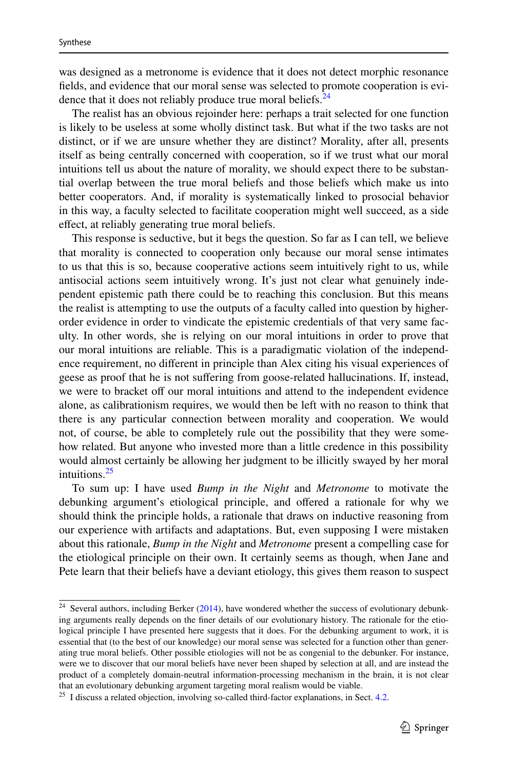was designed as a metronome is evidence that it does not detect morphic resonance fields, and evidence that our moral sense was selected to promote cooperation is evidence that it does not reliably produce true moral beliefs.  $24$ 

The realist has an obvious rejoinder here: perhaps a trait selected for one function is likely to be useless at some wholly distinct task. But what if the two tasks are not distinct, or if we are unsure whether they are distinct? Morality, after all, presents itself as being centrally concerned with cooperation, so if we trust what our moral intuitions tell us about the nature of morality, we should expect there to be substantial overlap between the true moral beliefs and those beliefs which make us into better cooperators. And, if morality is systematically linked to prosocial behavior in this way, a faculty selected to facilitate cooperation might well succeed, as a side effect, at reliably generating true moral beliefs.

This response is seductive, but it begs the question. So far as I can tell, we believe that morality is connected to cooperation only because our moral sense intimates to us that this is so, because cooperative actions seem intuitively right to us, while antisocial actions seem intuitively wrong. It's just not clear what genuinely independent epistemic path there could be to reaching this conclusion. But this means the realist is attempting to use the outputs of a faculty called into question by higherorder evidence in order to vindicate the epistemic credentials of that very same faculty. In other words, she is relying on our moral intuitions in order to prove that our moral intuitions are reliable. This is a paradigmatic violation of the independence requirement, no different in principle than Alex citing his visual experiences of geese as proof that he is not suffering from goose-related hallucinations. If, instead, we were to bracket off our moral intuitions and attend to the independent evidence alone, as calibrationism requires, we would then be left with no reason to think that there is any particular connection between morality and cooperation. We would not, of course, be able to completely rule out the possibility that they were somehow related. But anyone who invested more than a little credence in this possibility would almost certainly be allowing her judgment to be illicitly swayed by her moral intuitions.<sup>[25](#page-12-1)</sup>

To sum up: I have used *Bump in the Night* and *Metronome* to motivate the debunking argument's etiological principle, and offered a rationale for why we should think the principle holds, a rationale that draws on inductive reasoning from our experience with artifacts and adaptations. But, even supposing I were mistaken about this rationale, *Bump in the Night* and *Metronome* present a compelling case for the etiological principle on their own. It certainly seems as though, when Jane and Pete learn that their beliefs have a deviant etiology, this gives them reason to suspect

<span id="page-12-0"></span> $24$  Several authors, including Berker ([2014\)](#page-19-12), have wondered whether the success of evolutionary debunking arguments really depends on the finer details of our evolutionary history. The rationale for the etiological principle I have presented here suggests that it does. For the debunking argument to work, it is essential that (to the best of our knowledge) our moral sense was selected for a function other than generating true moral beliefs. Other possible etiologies will not be as congenial to the debunker. For instance, were we to discover that our moral beliefs have never been shaped by selection at all, and are instead the product of a completely domain-neutral information-processing mechanism in the brain, it is not clear that an evolutionary debunking argument targeting moral realism would be viable.

<span id="page-12-1"></span> $25$  I discuss a related objection, involving so-called third-factor explanations, in Sect. [4.2.](#page-15-2)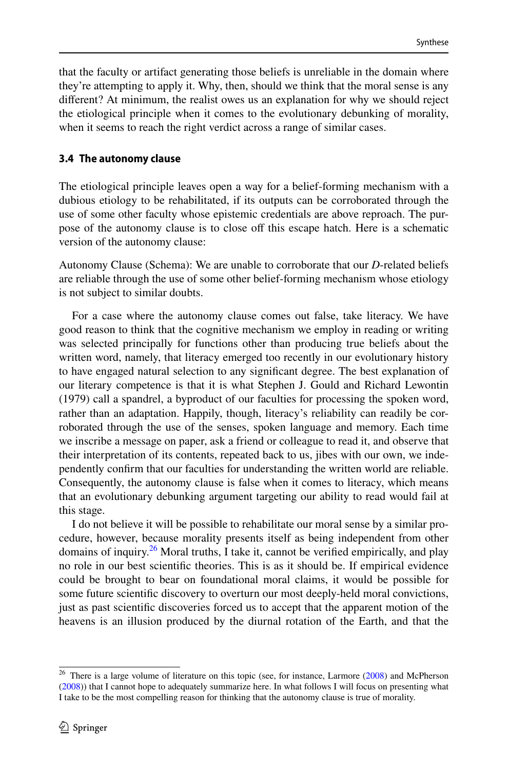that the faculty or artifact generating those beliefs is unreliable in the domain where they're attempting to apply it. Why, then, should we think that the moral sense is any different? At minimum, the realist owes us an explanation for why we should reject the etiological principle when it comes to the evolutionary debunking of morality, when it seems to reach the right verdict across a range of similar cases.

# <span id="page-13-0"></span>**3.4 The autonomy clause**

The etiological principle leaves open a way for a belief-forming mechanism with a dubious etiology to be rehabilitated, if its outputs can be corroborated through the use of some other faculty whose epistemic credentials are above reproach. The purpose of the autonomy clause is to close off this escape hatch. Here is a schematic version of the autonomy clause:

Autonomy Clause (Schema): We are unable to corroborate that our *D*-related beliefs are reliable through the use of some other belief-forming mechanism whose etiology is not subject to similar doubts.

For a case where the autonomy clause comes out false, take literacy. We have good reason to think that the cognitive mechanism we employ in reading or writing was selected principally for functions other than producing true beliefs about the written word, namely, that literacy emerged too recently in our evolutionary history to have engaged natural selection to any significant degree. The best explanation of our literary competence is that it is what Stephen J. Gould and Richard Lewontin (1979) call a spandrel, a byproduct of our faculties for processing the spoken word, rather than an adaptation. Happily, though, literacy's reliability can readily be corroborated through the use of the senses, spoken language and memory. Each time we inscribe a message on paper, ask a friend or colleague to read it, and observe that their interpretation of its contents, repeated back to us, jibes with our own, we independently confirm that our faculties for understanding the written world are reliable. Consequently, the autonomy clause is false when it comes to literacy, which means that an evolutionary debunking argument targeting our ability to read would fail at this stage.

I do not believe it will be possible to rehabilitate our moral sense by a similar procedure, however, because morality presents itself as being independent from other domains of inquiry.<sup>[26](#page-13-1)</sup> Moral truths, I take it, cannot be verified empirically, and play no role in our best scientific theories. This is as it should be. If empirical evidence could be brought to bear on foundational moral claims, it would be possible for some future scientific discovery to overturn our most deeply-held moral convictions, just as past scientific discoveries forced us to accept that the apparent motion of the heavens is an illusion produced by the diurnal rotation of the Earth, and that the

<span id="page-13-1"></span><sup>&</sup>lt;sup>26</sup> There is a large volume of literature on this topic (see, for instance, Larmore ([2008\)](#page-20-22) and McPherson ([2008\)](#page-20-23)) that I cannot hope to adequately summarize here. In what follows I will focus on presenting what I take to be the most compelling reason for thinking that the autonomy clause is true of morality.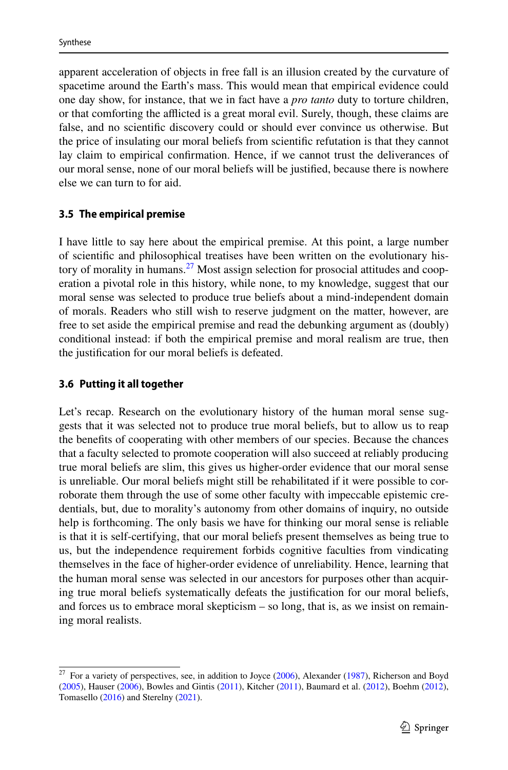apparent acceleration of objects in free fall is an illusion created by the curvature of spacetime around the Earth's mass. This would mean that empirical evidence could one day show, for instance, that we in fact have a *pro tanto* duty to torture children, or that comforting the afflicted is a great moral evil. Surely, though, these claims are false, and no scientific discovery could or should ever convince us otherwise. But the price of insulating our moral beliefs from scientific refutation is that they cannot lay claim to empirical confirmation. Hence, if we cannot trust the deliverances of our moral sense, none of our moral beliefs will be justified, because there is nowhere else we can turn to for aid.

# <span id="page-14-0"></span>**3.5 The empirical premise**

I have little to say here about the empirical premise. At this point, a large number of scientific and philosophical treatises have been written on the evolutionary his-tory of morality in humans.<sup>[27](#page-14-1)</sup> Most assign selection for prosocial attitudes and cooperation a pivotal role in this history, while none, to my knowledge, suggest that our moral sense was selected to produce true beliefs about a mind-independent domain of morals. Readers who still wish to reserve judgment on the matter, however, are free to set aside the empirical premise and read the debunking argument as (doubly) conditional instead: if both the empirical premise and moral realism are true, then the justification for our moral beliefs is defeated.

# **3.6 Putting it all together**

Let's recap. Research on the evolutionary history of the human moral sense suggests that it was selected not to produce true moral beliefs, but to allow us to reap the benefits of cooperating with other members of our species. Because the chances that a faculty selected to promote cooperation will also succeed at reliably producing true moral beliefs are slim, this gives us higher-order evidence that our moral sense is unreliable. Our moral beliefs might still be rehabilitated if it were possible to corroborate them through the use of some other faculty with impeccable epistemic credentials, but, due to morality's autonomy from other domains of inquiry, no outside help is forthcoming. The only basis we have for thinking our moral sense is reliable is that it is self-certifying, that our moral beliefs present themselves as being true to us, but the independence requirement forbids cognitive faculties from vindicating themselves in the face of higher-order evidence of unreliability. Hence, learning that the human moral sense was selected in our ancestors for purposes other than acquiring true moral beliefs systematically defeats the justification for our moral beliefs, and forces us to embrace moral skepticism – so long, that is, as we insist on remaining moral realists.

<span id="page-14-1"></span><sup>&</sup>lt;sup>27</sup> For a variety of perspectives, see, in addition to Joyce [\(2006](#page-20-0)), Alexander ([1987\)](#page-19-13), Richerson and Boyd ([2005\)](#page-20-24), Hauser ([2006\)](#page-20-25), Bowles and Gintis ([2011\)](#page-19-14), Kitcher [\(2011](#page-20-26)), Baumard et al. ([2012\)](#page-19-15), Boehm ([2012\)](#page-19-16), Tomasello [\(2016](#page-21-9)) and Sterelny [\(2021](#page-21-10)).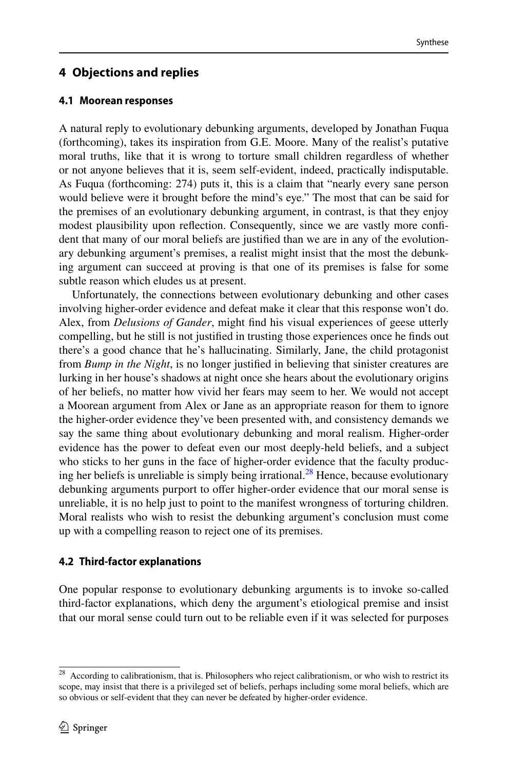# <span id="page-15-0"></span>**4 Objections and replies**

# <span id="page-15-1"></span>**4.1 Moorean responses**

A natural reply to evolutionary debunking arguments, developed by Jonathan Fuqua (forthcoming), takes its inspiration from G.E. Moore. Many of the realist's putative moral truths, like that it is wrong to torture small children regardless of whether or not anyone believes that it is, seem self-evident, indeed, practically indisputable. As Fuqua (forthcoming: 274) puts it, this is a claim that "nearly every sane person would believe were it brought before the mind's eye." The most that can be said for the premises of an evolutionary debunking argument, in contrast, is that they enjoy modest plausibility upon reflection. Consequently, since we are vastly more confident that many of our moral beliefs are justified than we are in any of the evolutionary debunking argument's premises, a realist might insist that the most the debunking argument can succeed at proving is that one of its premises is false for some subtle reason which eludes us at present.

Unfortunately, the connections between evolutionary debunking and other cases involving higher-order evidence and defeat make it clear that this response won't do. Alex, from *Delusions of Gander*, might find his visual experiences of geese utterly compelling, but he still is not justified in trusting those experiences once he finds out there's a good chance that he's hallucinating. Similarly, Jane, the child protagonist from *Bump in the Night*, is no longer justified in believing that sinister creatures are lurking in her house's shadows at night once she hears about the evolutionary origins of her beliefs, no matter how vivid her fears may seem to her. We would not accept a Moorean argument from Alex or Jane as an appropriate reason for them to ignore the higher-order evidence they've been presented with, and consistency demands we say the same thing about evolutionary debunking and moral realism. Higher-order evidence has the power to defeat even our most deeply-held beliefs, and a subject who sticks to her guns in the face of higher-order evidence that the faculty produc-ing her beliefs is unreliable is simply being irrational.<sup>[28](#page-15-3)</sup> Hence, because evolutionary debunking arguments purport to offer higher-order evidence that our moral sense is unreliable, it is no help just to point to the manifest wrongness of torturing children. Moral realists who wish to resist the debunking argument's conclusion must come up with a compelling reason to reject one of its premises.

# <span id="page-15-2"></span>**4.2 Third‑factor explanations**

One popular response to evolutionary debunking arguments is to invoke so-called third-factor explanations, which deny the argument's etiological premise and insist that our moral sense could turn out to be reliable even if it was selected for purposes

<span id="page-15-3"></span> $\frac{28}{28}$  According to calibrationism, that is. Philosophers who reject calibrationism, or who wish to restrict its scope, may insist that there is a privileged set of beliefs, perhaps including some moral beliefs, which are so obvious or self-evident that they can never be defeated by higher-order evidence.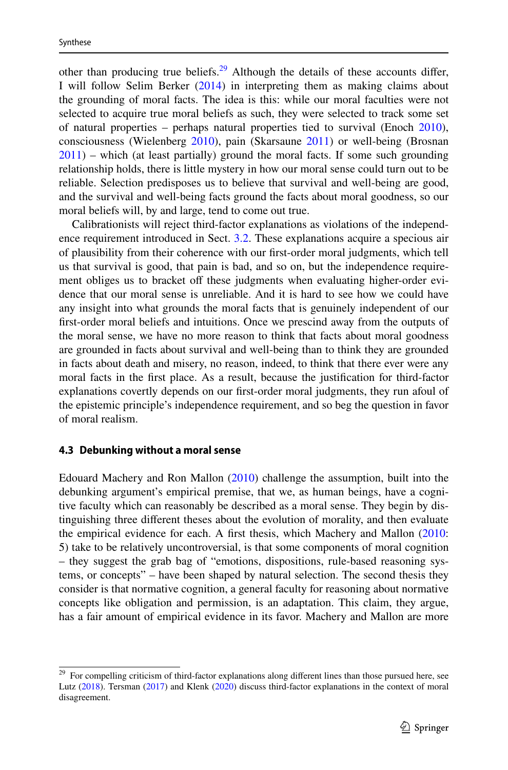other than producing true beliefs. $29$  Although the details of these accounts differ, I will follow Selim Berker ([2014\)](#page-19-12) in interpreting them as making claims about the grounding of moral facts. The idea is this: while our moral faculties were not selected to acquire true moral beliefs as such, they were selected to track some set of natural properties – perhaps natural properties tied to survival (Enoch [2010\)](#page-20-27), consciousness (Wielenberg [2010\)](#page-21-11), pain (Skarsaune [2011](#page-20-28)) or well-being (Brosnan [2011](#page-19-17)) – which (at least partially) ground the moral facts. If some such grounding relationship holds, there is little mystery in how our moral sense could turn out to be reliable. Selection predisposes us to believe that survival and well-being are good, and the survival and well-being facts ground the facts about moral goodness, so our moral beliefs will, by and large, tend to come out true.

Calibrationists will reject third-factor explanations as violations of the independence requirement introduced in Sect. [3.2](#page-6-0). These explanations acquire a specious air of plausibility from their coherence with our first-order moral judgments, which tell us that survival is good, that pain is bad, and so on, but the independence requirement obliges us to bracket off these judgments when evaluating higher-order evidence that our moral sense is unreliable. And it is hard to see how we could have any insight into what grounds the moral facts that is genuinely independent of our first-order moral beliefs and intuitions. Once we prescind away from the outputs of the moral sense, we have no more reason to think that facts about moral goodness are grounded in facts about survival and well-being than to think they are grounded in facts about death and misery, no reason, indeed, to think that there ever were any moral facts in the first place. As a result, because the justification for third-factor explanations covertly depends on our first-order moral judgments, they run afoul of the epistemic principle's independence requirement, and so beg the question in favor of moral realism.

#### <span id="page-16-0"></span>**4.3 Debunking without a moral sense**

Edouard Machery and Ron Mallon [\(2010](#page-20-9)) challenge the assumption, built into the debunking argument's empirical premise, that we, as human beings, have a cognitive faculty which can reasonably be described as a moral sense. They begin by distinguishing three different theses about the evolution of morality, and then evaluate the empirical evidence for each. A first thesis, which Machery and Mallon ([2010:](#page-20-9) 5) take to be relatively uncontroversial, is that some components of moral cognition – they suggest the grab bag of "emotions, dispositions, rule-based reasoning systems, or concepts" – have been shaped by natural selection. The second thesis they consider is that normative cognition, a general faculty for reasoning about normative concepts like obligation and permission, is an adaptation. This claim, they argue, has a fair amount of empirical evidence in its favor. Machery and Mallon are more

<span id="page-16-1"></span><sup>&</sup>lt;sup>29</sup> For compelling criticism of third-factor explanations along different lines than those pursued here, see Lutz ([2018\)](#page-20-4). Tersman [\(2017](#page-21-12)) and Klenk [\(2020](#page-20-29)) discuss third-factor explanations in the context of moral disagreement.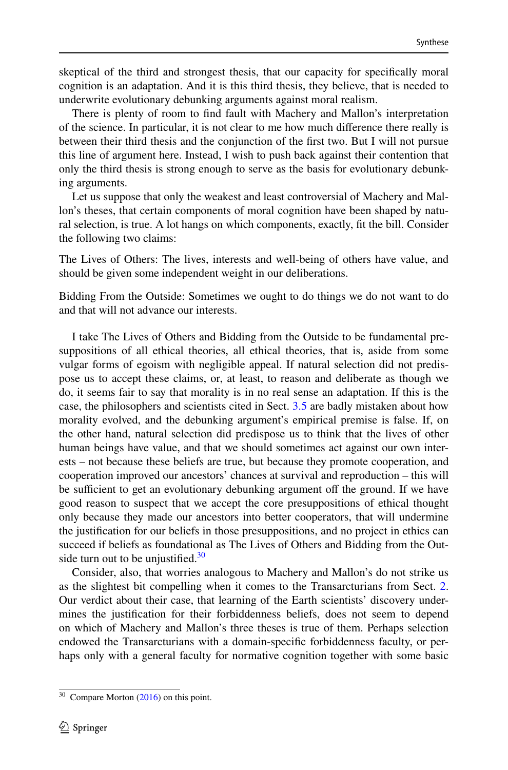skeptical of the third and strongest thesis, that our capacity for specifically moral cognition is an adaptation. And it is this third thesis, they believe, that is needed to underwrite evolutionary debunking arguments against moral realism.

There is plenty of room to find fault with Machery and Mallon's interpretation of the science. In particular, it is not clear to me how much difference there really is between their third thesis and the conjunction of the first two. But I will not pursue this line of argument here. Instead, I wish to push back against their contention that only the third thesis is strong enough to serve as the basis for evolutionary debunking arguments.

Let us suppose that only the weakest and least controversial of Machery and Mallon's theses, that certain components of moral cognition have been shaped by natural selection, is true. A lot hangs on which components, exactly, fit the bill. Consider the following two claims:

The Lives of Others: The lives, interests and well-being of others have value, and should be given some independent weight in our deliberations.

Bidding From the Outside: Sometimes we ought to do things we do not want to do and that will not advance our interests.

I take The Lives of Others and Bidding from the Outside to be fundamental presuppositions of all ethical theories, all ethical theories, that is, aside from some vulgar forms of egoism with negligible appeal. If natural selection did not predispose us to accept these claims, or, at least, to reason and deliberate as though we do, it seems fair to say that morality is in no real sense an adaptation. If this is the case, the philosophers and scientists cited in Sect. [3.5](#page-14-0) are badly mistaken about how morality evolved, and the debunking argument's empirical premise is false. If, on the other hand, natural selection did predispose us to think that the lives of other human beings have value, and that we should sometimes act against our own interests – not because these beliefs are true, but because they promote cooperation, and cooperation improved our ancestors' chances at survival and reproduction – this will be sufficient to get an evolutionary debunking argument off the ground. If we have good reason to suspect that we accept the core presuppositions of ethical thought only because they made our ancestors into better cooperators, that will undermine the justification for our beliefs in those presuppositions, and no project in ethics can succeed if beliefs as foundational as The Lives of Others and Bidding from the Outside turn out to be unjustified. $30$ 

Consider, also, that worries analogous to Machery and Mallon's do not strike us as the slightest bit compelling when it comes to the Transarcturians from Sect. [2.](#page-3-0) Our verdict about their case, that learning of the Earth scientists' discovery undermines the justification for their forbiddenness beliefs, does not seem to depend on which of Machery and Mallon's three theses is true of them. Perhaps selection endowed the Transarcturians with a domain-specific forbiddenness faculty, or perhaps only with a general faculty for normative cognition together with some basic

<span id="page-17-0"></span><sup>&</sup>lt;sup>30</sup> Compare Morton ([2016\)](#page-20-12) on this point.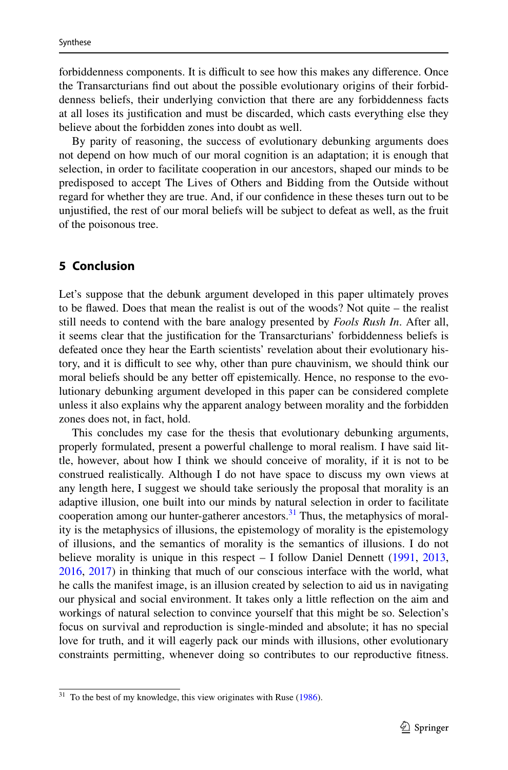forbiddenness components. It is difficult to see how this makes any difference. Once the Transarcturians find out about the possible evolutionary origins of their forbiddenness beliefs, their underlying conviction that there are any forbiddenness facts at all loses its justification and must be discarded, which casts everything else they believe about the forbidden zones into doubt as well.

By parity of reasoning, the success of evolutionary debunking arguments does not depend on how much of our moral cognition is an adaptation; it is enough that selection, in order to facilitate cooperation in our ancestors, shaped our minds to be predisposed to accept The Lives of Others and Bidding from the Outside without regard for whether they are true. And, if our confidence in these theses turn out to be unjustified, the rest of our moral beliefs will be subject to defeat as well, as the fruit of the poisonous tree.

### <span id="page-18-0"></span>**5 Conclusion**

Let's suppose that the debunk argument developed in this paper ultimately proves to be flawed. Does that mean the realist is out of the woods? Not quite – the realist still needs to contend with the bare analogy presented by *Fools Rush In*. After all, it seems clear that the justification for the Transarcturians' forbiddenness beliefs is defeated once they hear the Earth scientists' revelation about their evolutionary history, and it is difficult to see why, other than pure chauvinism, we should think our moral beliefs should be any better off epistemically. Hence, no response to the evolutionary debunking argument developed in this paper can be considered complete unless it also explains why the apparent analogy between morality and the forbidden zones does not, in fact, hold.

This concludes my case for the thesis that evolutionary debunking arguments, properly formulated, present a powerful challenge to moral realism. I have said little, however, about how I think we should conceive of morality, if it is not to be construed realistically. Although I do not have space to discuss my own views at any length here, I suggest we should take seriously the proposal that morality is an adaptive illusion, one built into our minds by natural selection in order to facilitate cooperation among our hunter-gatherer ancestors. $31$  Thus, the metaphysics of morality is the metaphysics of illusions, the epistemology of morality is the epistemology of illusions, and the semantics of morality is the semantics of illusions. I do not believe morality is unique in this respect – I follow Daniel Dennett [\(1991](#page-19-18), [2013,](#page-19-19) [2016](#page-19-20), [2017\)](#page-19-21) in thinking that much of our conscious interface with the world, what he calls the manifest image, is an illusion created by selection to aid us in navigating our physical and social environment. It takes only a little reflection on the aim and workings of natural selection to convince yourself that this might be so. Selection's focus on survival and reproduction is single-minded and absolute; it has no special love for truth, and it will eagerly pack our minds with illusions, other evolutionary constraints permitting, whenever doing so contributes to our reproductive fitness.

<span id="page-18-1"></span> $31$  To the best of my knowledge, this view originates with Ruse ([1986\)](#page-20-30).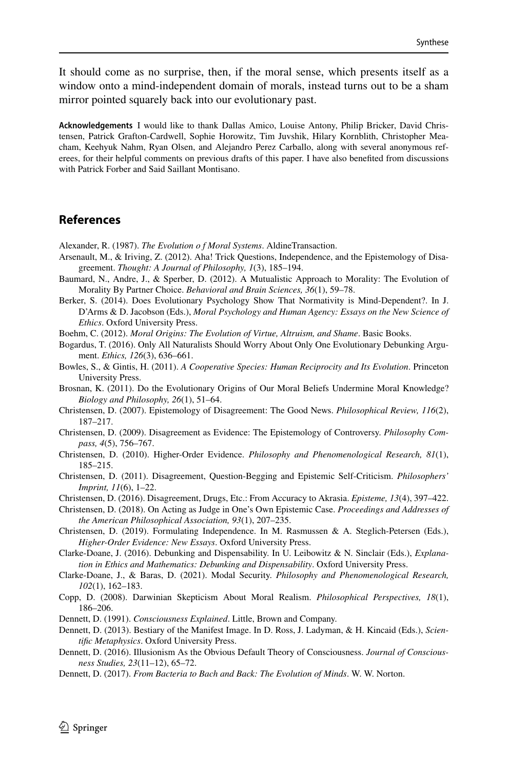It should come as no surprise, then, if the moral sense, which presents itself as a window onto a mind-independent domain of morals, instead turns out to be a sham mirror pointed squarely back into our evolutionary past.

**Acknowledgements** I would like to thank Dallas Amico, Louise Antony, Philip Bricker, David Christensen, Patrick Grafton-Cardwell, Sophie Horowitz, Tim Juvshik, Hilary Kornblith, Christopher Meacham, Keehyuk Nahm, Ryan Olsen, and Alejandro Perez Carballo, along with several anonymous referees, for their helpful comments on previous drafts of this paper. I have also benefited from discussions with Patrick Forber and Said Saillant Montisano.

# **References**

<span id="page-19-13"></span>Alexander, R. (1987). *The Evolution o f Moral Systems*. AldineTransaction.

- <span id="page-19-11"></span>Arsenault, M., & Iriving, Z. (2012). Aha! Trick Questions, Independence, and the Epistemology of Disagreement. *Thought: A Journal of Philosophy, 1*(3), 185–194.
- <span id="page-19-15"></span>Baumard, N., Andre, J., & Sperber, D. (2012). A Mutualistic Approach to Morality: The Evolution of Morality By Partner Choice. *Behavioral and Brain Sciences, 36*(1), 59–78.
- <span id="page-19-12"></span>Berker, S. (2014). Does Evolutionary Psychology Show That Normativity is Mind-Dependent?. In J. D'Arms & D. Jacobson (Eds.), *Moral Psychology and Human Agency: Essays on the New Science of Ethics*. Oxford University Press.
- <span id="page-19-16"></span>Boehm, C. (2012). *Moral Origins: The Evolution of Virtue, Altruism, and Shame*. Basic Books.
- <span id="page-19-1"></span>Bogardus, T. (2016). Only All Naturalists Should Worry About Only One Evolutionary Debunking Argument. *Ethics, 126*(3), 636–661.
- <span id="page-19-14"></span>Bowles, S., & Gintis, H. (2011). *A Cooperative Species: Human Reciprocity and Its Evolution*. Princeton University Press.
- <span id="page-19-17"></span>Brosnan, K. (2011). Do the Evolutionary Origins of Our Moral Beliefs Undermine Moral Knowledge? *Biology and Philosophy, 26*(1), 51–64.
- <span id="page-19-6"></span>Christensen, D. (2007). Epistemology of Disagreement: The Good News. *Philosophical Review, 116*(2), 187–217.
- <span id="page-19-7"></span>Christensen, D. (2009). Disagreement as Evidence: The Epistemology of Controversy. *Philosophy Compass, 4*(5), 756–767.
- <span id="page-19-4"></span>Christensen, D. (2010). Higher-Order Evidence. *Philosophy and Phenomenological Research, 81*(1), 185–215.
- <span id="page-19-8"></span>Christensen, D. (2011). Disagreement, Question-Begging and Epistemic Self-Criticism. *Philosophers' Imprint, 11*(6), 1–22.

<span id="page-19-5"></span>Christensen, D. (2016). Disagreement, Drugs, Etc.: From Accuracy to Akrasia. *Episteme, 13*(4), 397–422.

- <span id="page-19-9"></span>Christensen, D. (2018). On Acting as Judge in One's Own Epistemic Case. *Proceedings and Addresses of the American Philosophical Association, 93*(1), 207–235.
- <span id="page-19-10"></span>Christensen, D. (2019). Formulating Independence. In M. Rasmussen & A. Steglich-Petersen (Eds.), *Higher-Order Evidence: New Essays*. Oxford University Press.
- <span id="page-19-2"></span>Clarke-Doane, J. (2016). Debunking and Dispensability. In U. Leibowitz & N. Sinclair (Eds.), *Explanation in Ethics and Mathematics: Debunking and Dispensability*. Oxford University Press.

<span id="page-19-3"></span>Clarke-Doane, J., & Baras, D. (2021). Modal Security. *Philosophy and Phenomenological Research, 102*(1), 162–183.

<span id="page-19-0"></span>Copp, D. (2008). Darwinian Skepticism About Moral Realism. *Philosophical Perspectives, 18*(1), 186–206.

<span id="page-19-18"></span>Dennett, D. (1991). *Consciousness Explained*. Little, Brown and Company.

<span id="page-19-19"></span>Dennett, D. (2013). Bestiary of the Manifest Image. In D. Ross, J. Ladyman, & H. Kincaid (Eds.), *Scientific Metaphysics*. Oxford University Press.

- <span id="page-19-20"></span>Dennett, D. (2016). Illusionism As the Obvious Default Theory of Consciousness. *Journal of Consciousness Studies, 23*(11–12), 65–72.
- <span id="page-19-21"></span>Dennett, D. (2017). *From Bacteria to Bach and Back: The Evolution of Minds*. W. W. Norton.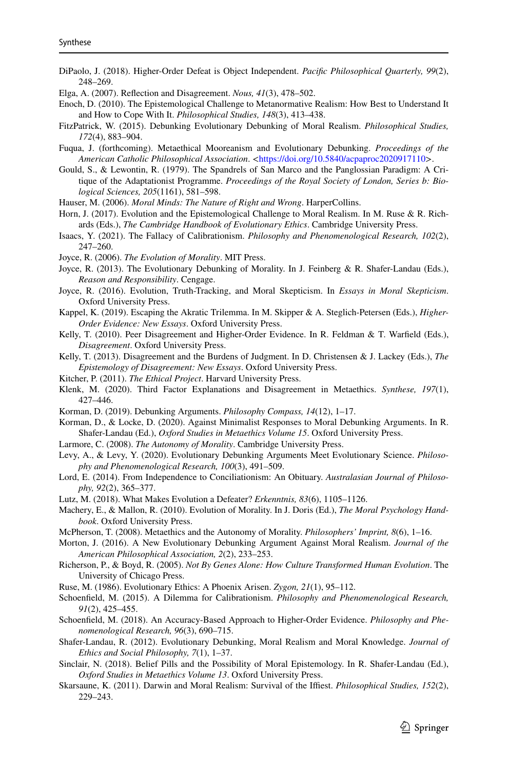- <span id="page-20-13"></span>DiPaolo, J. (2018). Higher-Order Defeat is Object Independent. *Pacific Philosophical Quarterly, 99*(2), 248–269.
- <span id="page-20-18"></span>Elga, A. (2007). Reflection and Disagreement. *Nous, 41*(3), 478–502.
- <span id="page-20-27"></span>Enoch, D. (2010). The Epistemological Challenge to Metanormative Realism: How Best to Understand It and How to Cope With It. *Philosophical Studies, 148*(3), 413–438.
- <span id="page-20-10"></span>FitzPatrick, W. (2015). Debunking Evolutionary Debunking of Moral Realism. *Philosophical Studies, 172*(4), 883–904.
- Fuqua, J. (forthcoming). Metaethical Mooreanism and Evolutionary Debunking. *Proceedings of the American Catholic Philosophical Association.* <https://doi.org/10.5840/acpaproc2020917110>.
- Gould, S., & Lewontin, R. (1979). The Spandrels of San Marco and the Panglossian Paradigm: A Critique of the Adaptationist Programme. *Proceedings of the Royal Society of London, Series b: Biological Sciences, 205*(1161), 581–598.
- <span id="page-20-25"></span>Hauser, M. (2006). *Moral Minds: The Nature of Right and Wrong*. HarperCollins.
- <span id="page-20-3"></span>Horn, J. (2017). Evolution and the Epistemological Challenge to Moral Realism. In M. Ruse & R. Richards (Eds.), *The Cambridge Handbook of Evolutionary Ethics*. Cambridge University Press.
- <span id="page-20-17"></span>Isaacs, Y. (2021). The Fallacy of Calibrationism. *Philosophy and Phenomenological Research, 102*(2), 247–260.
- <span id="page-20-0"></span>Joyce, R. (2006). *The Evolution of Morality*. MIT Press.
- <span id="page-20-1"></span>Joyce, R. (2013). The Evolutionary Debunking of Morality. In J. Feinberg & R. Shafer-Landau (Eds.), *Reason and Responsibility*. Cengage.
- <span id="page-20-2"></span>Joyce, R. (2016). Evolution, Truth-Tracking, and Moral Skepticism. In *Essays in Moral Skepticism*. Oxford University Press.
- <span id="page-20-15"></span>Kappel, K. (2019). Escaping the Akratic Trilemma. In M. Skipper & A. Steglich-Petersen (Eds.), *Higher-Order Evidence: New Essays*. Oxford University Press.
- <span id="page-20-21"></span>Kelly, T. (2010). Peer Disagreement and Higher-Order Evidence. In R. Feldman & T. Warfield (Eds.), *Disagreement*. Oxford University Press.
- <span id="page-20-19"></span>Kelly, T. (2013). Disagreement and the Burdens of Judgment. In D. Christensen & J. Lackey (Eds.), *The Epistemology of Disagreement: New Essays*. Oxford University Press.
- <span id="page-20-26"></span>Kitcher, P. (2011). *The Ethical Project*. Harvard University Press.
- <span id="page-20-29"></span>Klenk, M. (2020). Third Factor Explanations and Disagreement in Metaethics. *Synthese, 197*(1), 427–446.
- <span id="page-20-5"></span>Korman, D. (2019). Debunking Arguments. *Philosophy Compass, 14*(12), 1–17.
- <span id="page-20-8"></span>Korman, D., & Locke, D. (2020). Against Minimalist Responses to Moral Debunking Arguments. In R. Shafer-Landau (Ed.), *Oxford Studies in Metaethics Volume 15*. Oxford University Press.
- <span id="page-20-22"></span>Larmore, C. (2008). *The Autonomy of Morality*. Cambridge University Press.
- <span id="page-20-11"></span>Levy, A., & Levy, Y. (2020). Evolutionary Debunking Arguments Meet Evolutionary Science. *Philosophy and Phenomenological Research, 100*(3), 491–509.
- <span id="page-20-20"></span>Lord, E. (2014). From Independence to Conciliationism: An Obituary. *Australasian Journal of Philosophy, 92*(2), 365–377.
- <span id="page-20-4"></span>Lutz, M. (2018). What Makes Evolution a Defeater? *Erkenntnis, 83*(6), 1105–1126.
- <span id="page-20-9"></span>Machery, E., & Mallon, R. (2010). Evolution of Morality. In J. Doris (Ed.), *The Moral Psychology Handbook*. Oxford University Press.
- <span id="page-20-23"></span>McPherson, T. (2008). Metaethics and the Autonomy of Morality. *Philosophers' Imprint, 8*(6), 1–16.
- <span id="page-20-12"></span>Morton, J. (2016). A New Evolutionary Debunking Argument Against Moral Realism. *Journal of the American Philosophical Association, 2*(2), 233–253.
- <span id="page-20-24"></span>Richerson, P., & Boyd, R. (2005). *Not By Genes Alone: How Culture Transformed Human Evolution*. The University of Chicago Press.
- <span id="page-20-30"></span>Ruse, M. (1986). Evolutionary Ethics: A Phoenix Arisen. *Zygon, 21*(1), 95–112.
- <span id="page-20-16"></span>Schoenfield, M. (2015). A Dilemma for Calibrationism. *Philosophy and Phenomenological Research, 91*(2), 425–455.
- <span id="page-20-14"></span>Schoenfield, M. (2018). An Accuracy-Based Approach to Higher-Order Evidence. *Philosophy and Phenomenological Research, 96*(3), 690–715.
- <span id="page-20-6"></span>Shafer-Landau, R. (2012). Evolutionary Debunking, Moral Realism and Moral Knowledge. *Journal of Ethics and Social Philosophy, 7*(1), 1–37.
- <span id="page-20-7"></span>Sinclair, N. (2018). Belief Pills and the Possibility of Moral Epistemology. In R. Shafer-Landau (Ed.), *Oxford Studies in Metaethics Volume 13*. Oxford University Press.
- <span id="page-20-28"></span>Skarsaune, K. (2011). Darwin and Moral Realism: Survival of the Iffiest. *Philosophical Studies, 152*(2), 229–243.